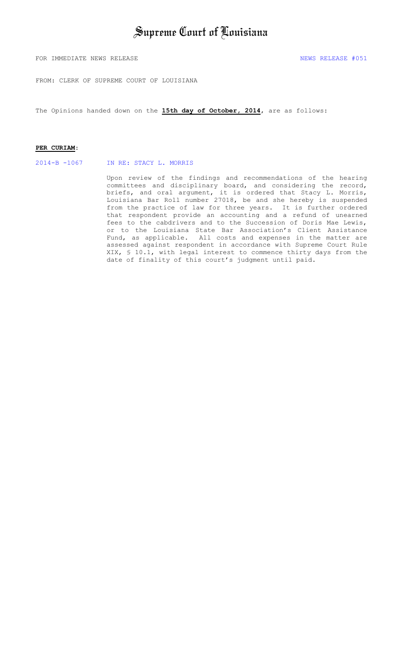## Supreme Court of Louisiana

FOR IMMEDIATE NEWS RELEASE  $\overline{1051}$ 

FROM: CLERK OF SUPREME COURT OF LOUISIANA

The Opinions handed down on the **15th day of October, 2014**, are as follows:

#### **PER CURIAM**:

2014-B -1067 [IN RE: STACY L. MORRIS](#page-1-0)

Upon review of the findings and recommendations of the hearing committees and disciplinary board, and considering the record, briefs, and oral argument, it is ordered that Stacy L. Morris, Louisiana Bar Roll number 27018, be and she hereby is suspended from the practice of law for three years. It is further ordered that respondent provide an accounting and a refund of unearned fees to the cabdrivers and to the Succession of Doris Mae Lewis, or to the Louisiana State Bar Association's Client Assistance Fund, as applicable. All costs and expenses in the matter are assessed against respondent in accordance with Supreme Court Rule XIX, § 10.1, with legal interest to commence thirty days from the date of finality of this court's judgment until paid.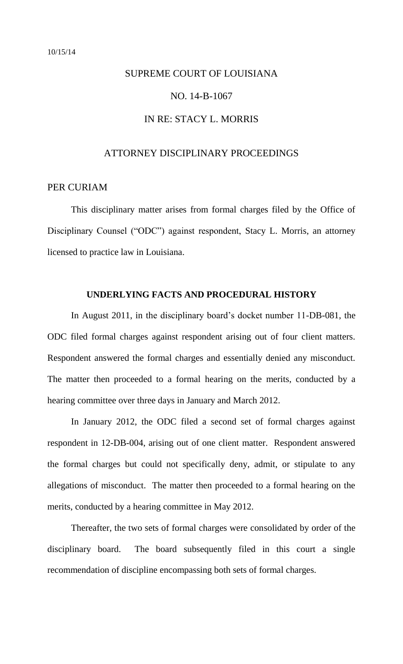# <span id="page-1-0"></span>SUPREME COURT OF LOUISIANA NO. 14-B-1067 IN RE: STACY L. MORRIS

#### ATTORNEY DISCIPLINARY PROCEEDINGS

### PER CURIAM

This disciplinary matter arises from formal charges filed by the Office of Disciplinary Counsel ("ODC") against respondent, Stacy L. Morris, an attorney licensed to practice law in Louisiana.

#### **UNDERLYING FACTS AND PROCEDURAL HISTORY**

 In August 2011, in the disciplinary board's docket number 11-DB-081, the ODC filed formal charges against respondent arising out of four client matters. Respondent answered the formal charges and essentially denied any misconduct. The matter then proceeded to a formal hearing on the merits, conducted by a hearing committee over three days in January and March 2012.

 In January 2012, the ODC filed a second set of formal charges against respondent in 12-DB-004, arising out of one client matter. Respondent answered the formal charges but could not specifically deny, admit, or stipulate to any allegations of misconduct. The matter then proceeded to a formal hearing on the merits, conducted by a hearing committee in May 2012.

Thereafter, the two sets of formal charges were consolidated by order of the disciplinary board. The board subsequently filed in this court a single recommendation of discipline encompassing both sets of formal charges.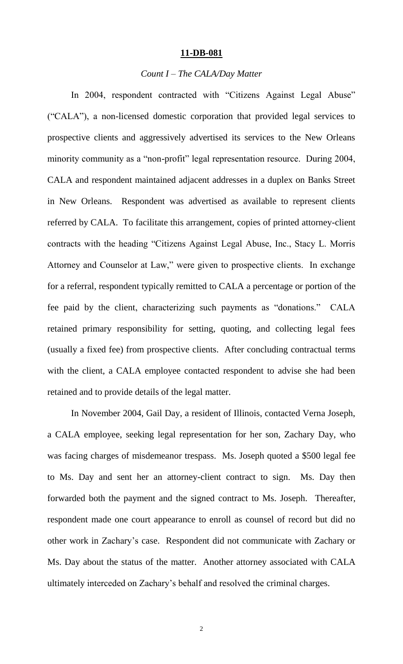#### **11-DB-081**

#### *Count I – The CALA/Day Matter*

In 2004, respondent contracted with "Citizens Against Legal Abuse" ("CALA"), a non-licensed domestic corporation that provided legal services to prospective clients and aggressively advertised its services to the New Orleans minority community as a "non-profit" legal representation resource. During 2004, CALA and respondent maintained adjacent addresses in a duplex on Banks Street in New Orleans. Respondent was advertised as available to represent clients referred by CALA. To facilitate this arrangement, copies of printed attorney-client contracts with the heading "Citizens Against Legal Abuse, Inc., Stacy L. Morris Attorney and Counselor at Law," were given to prospective clients. In exchange for a referral, respondent typically remitted to CALA a percentage or portion of the fee paid by the client, characterizing such payments as "donations." CALA retained primary responsibility for setting, quoting, and collecting legal fees (usually a fixed fee) from prospective clients. After concluding contractual terms with the client, a CALA employee contacted respondent to advise she had been retained and to provide details of the legal matter.

 In November 2004, Gail Day, a resident of Illinois, contacted Verna Joseph, a CALA employee, seeking legal representation for her son, Zachary Day, who was facing charges of misdemeanor trespass. Ms. Joseph quoted a \$500 legal fee to Ms. Day and sent her an attorney-client contract to sign. Ms. Day then forwarded both the payment and the signed contract to Ms. Joseph. Thereafter, respondent made one court appearance to enroll as counsel of record but did no other work in Zachary's case. Respondent did not communicate with Zachary or Ms. Day about the status of the matter. Another attorney associated with CALA ultimately interceded on Zachary's behalf and resolved the criminal charges.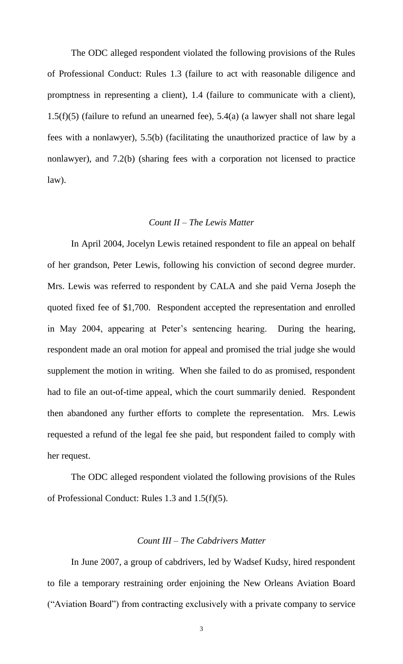The ODC alleged respondent violated the following provisions of the Rules of Professional Conduct: Rules 1.3 (failure to act with reasonable diligence and promptness in representing a client), 1.4 (failure to communicate with a client), 1.5(f)(5) (failure to refund an unearned fee), 5.4(a) (a lawyer shall not share legal fees with a nonlawyer), 5.5(b) (facilitating the unauthorized practice of law by a nonlawyer), and 7.2(b) (sharing fees with a corporation not licensed to practice law).

#### *Count II – The Lewis Matter*

 In April 2004, Jocelyn Lewis retained respondent to file an appeal on behalf of her grandson, Peter Lewis, following his conviction of second degree murder. Mrs. Lewis was referred to respondent by CALA and she paid Verna Joseph the quoted fixed fee of \$1,700. Respondent accepted the representation and enrolled in May 2004, appearing at Peter's sentencing hearing. During the hearing, respondent made an oral motion for appeal and promised the trial judge she would supplement the motion in writing. When she failed to do as promised, respondent had to file an out-of-time appeal, which the court summarily denied. Respondent then abandoned any further efforts to complete the representation. Mrs. Lewis requested a refund of the legal fee she paid, but respondent failed to comply with her request.

 The ODC alleged respondent violated the following provisions of the Rules of Professional Conduct: Rules 1.3 and 1.5(f)(5).

#### *Count III – The Cabdrivers Matter*

In June 2007, a group of cabdrivers, led by Wadsef Kudsy, hired respondent to file a temporary restraining order enjoining the New Orleans Aviation Board ("Aviation Board") from contracting exclusively with a private company to service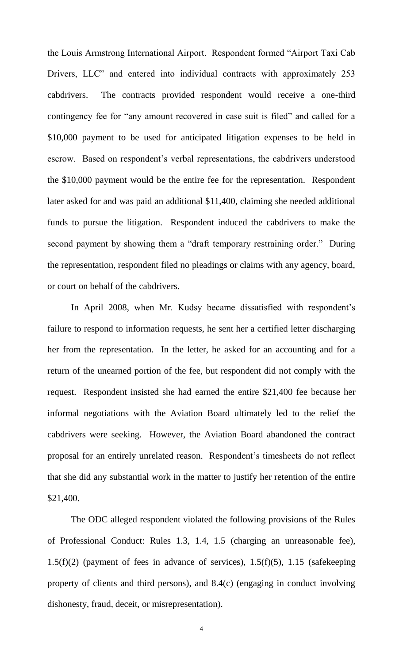the Louis Armstrong International Airport. Respondent formed "Airport Taxi Cab Drivers, LLC" and entered into individual contracts with approximately 253 cabdrivers. The contracts provided respondent would receive a one-third contingency fee for "any amount recovered in case suit is filed" and called for a \$10,000 payment to be used for anticipated litigation expenses to be held in escrow. Based on respondent's verbal representations, the cabdrivers understood the \$10,000 payment would be the entire fee for the representation. Respondent later asked for and was paid an additional \$11,400, claiming she needed additional funds to pursue the litigation. Respondent induced the cabdrivers to make the second payment by showing them a "draft temporary restraining order." During the representation, respondent filed no pleadings or claims with any agency, board, or court on behalf of the cabdrivers.

In April 2008, when Mr. Kudsy became dissatisfied with respondent's failure to respond to information requests, he sent her a certified letter discharging her from the representation. In the letter, he asked for an accounting and for a return of the unearned portion of the fee, but respondent did not comply with the request. Respondent insisted she had earned the entire \$21,400 fee because her informal negotiations with the Aviation Board ultimately led to the relief the cabdrivers were seeking. However, the Aviation Board abandoned the contract proposal for an entirely unrelated reason. Respondent's timesheets do not reflect that she did any substantial work in the matter to justify her retention of the entire \$21,400.

The ODC alleged respondent violated the following provisions of the Rules of Professional Conduct: Rules 1.3, 1.4, 1.5 (charging an unreasonable fee), 1.5(f)(2) (payment of fees in advance of services),  $1.5(f)(5)$ ,  $1.15$  (safekeeping property of clients and third persons), and 8.4(c) (engaging in conduct involving dishonesty, fraud, deceit, or misrepresentation).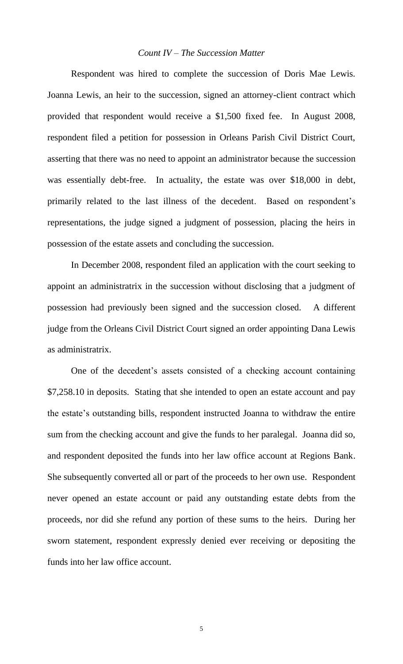#### *Count IV – The Succession Matter*

 Respondent was hired to complete the succession of Doris Mae Lewis. Joanna Lewis, an heir to the succession, signed an attorney-client contract which provided that respondent would receive a \$1,500 fixed fee. In August 2008, respondent filed a petition for possession in Orleans Parish Civil District Court, asserting that there was no need to appoint an administrator because the succession was essentially debt-free. In actuality, the estate was over \$18,000 in debt, primarily related to the last illness of the decedent. Based on respondent's representations, the judge signed a judgment of possession, placing the heirs in possession of the estate assets and concluding the succession.

In December 2008, respondent filed an application with the court seeking to appoint an administratrix in the succession without disclosing that a judgment of possession had previously been signed and the succession closed. A different judge from the Orleans Civil District Court signed an order appointing Dana Lewis as administratrix.

 One of the decedent's assets consisted of a checking account containing \$7,258.10 in deposits. Stating that she intended to open an estate account and pay the estate's outstanding bills, respondent instructed Joanna to withdraw the entire sum from the checking account and give the funds to her paralegal. Joanna did so, and respondent deposited the funds into her law office account at Regions Bank. She subsequently converted all or part of the proceeds to her own use. Respondent never opened an estate account or paid any outstanding estate debts from the proceeds, nor did she refund any portion of these sums to the heirs. During her sworn statement, respondent expressly denied ever receiving or depositing the funds into her law office account.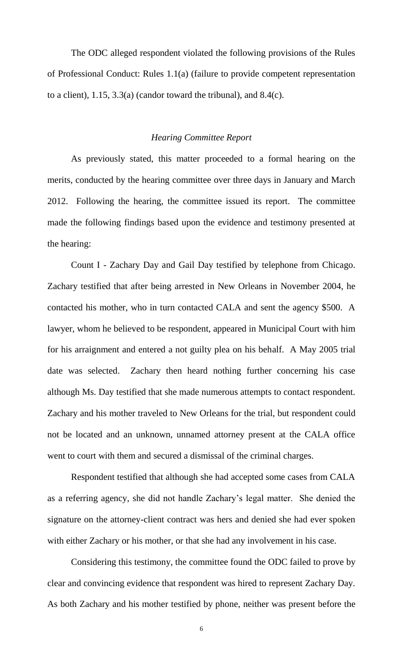The ODC alleged respondent violated the following provisions of the Rules of Professional Conduct: Rules 1.1(a) (failure to provide competent representation to a client), 1.15, 3.3(a) (candor toward the tribunal), and 8.4(c).

#### *Hearing Committee Report*

 As previously stated, this matter proceeded to a formal hearing on the merits, conducted by the hearing committee over three days in January and March 2012. Following the hearing, the committee issued its report. The committee made the following findings based upon the evidence and testimony presented at the hearing:

Count I - Zachary Day and Gail Day testified by telephone from Chicago. Zachary testified that after being arrested in New Orleans in November 2004, he contacted his mother, who in turn contacted CALA and sent the agency \$500. A lawyer, whom he believed to be respondent, appeared in Municipal Court with him for his arraignment and entered a not guilty plea on his behalf. A May 2005 trial date was selected. Zachary then heard nothing further concerning his case although Ms. Day testified that she made numerous attempts to contact respondent. Zachary and his mother traveled to New Orleans for the trial, but respondent could not be located and an unknown, unnamed attorney present at the CALA office went to court with them and secured a dismissal of the criminal charges.

Respondent testified that although she had accepted some cases from CALA as a referring agency, she did not handle Zachary's legal matter. She denied the signature on the attorney-client contract was hers and denied she had ever spoken with either Zachary or his mother, or that she had any involvement in his case.

Considering this testimony, the committee found the ODC failed to prove by clear and convincing evidence that respondent was hired to represent Zachary Day. As both Zachary and his mother testified by phone, neither was present before the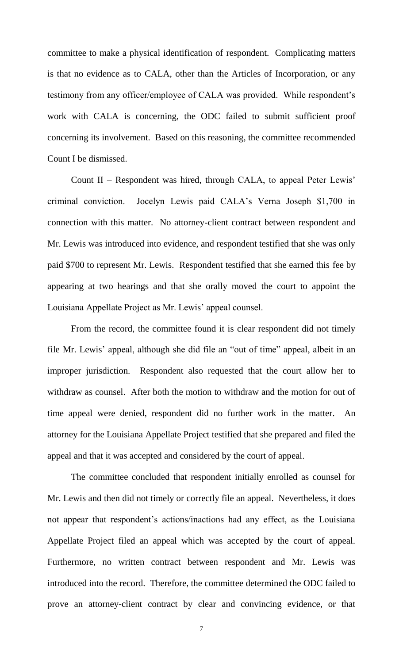committee to make a physical identification of respondent. Complicating matters is that no evidence as to CALA, other than the Articles of Incorporation, or any testimony from any officer/employee of CALA was provided. While respondent's work with CALA is concerning, the ODC failed to submit sufficient proof concerning its involvement. Based on this reasoning, the committee recommended Count I be dismissed.

Count II – Respondent was hired, through CALA, to appeal Peter Lewis' criminal conviction. Jocelyn Lewis paid CALA's Verna Joseph \$1,700 in connection with this matter. No attorney-client contract between respondent and Mr. Lewis was introduced into evidence, and respondent testified that she was only paid \$700 to represent Mr. Lewis. Respondent testified that she earned this fee by appearing at two hearings and that she orally moved the court to appoint the Louisiana Appellate Project as Mr. Lewis' appeal counsel.

From the record, the committee found it is clear respondent did not timely file Mr. Lewis' appeal, although she did file an "out of time" appeal, albeit in an improper jurisdiction. Respondent also requested that the court allow her to withdraw as counsel. After both the motion to withdraw and the motion for out of time appeal were denied, respondent did no further work in the matter. An attorney for the Louisiana Appellate Project testified that she prepared and filed the appeal and that it was accepted and considered by the court of appeal.

The committee concluded that respondent initially enrolled as counsel for Mr. Lewis and then did not timely or correctly file an appeal. Nevertheless, it does not appear that respondent's actions/inactions had any effect, as the Louisiana Appellate Project filed an appeal which was accepted by the court of appeal. Furthermore, no written contract between respondent and Mr. Lewis was introduced into the record. Therefore, the committee determined the ODC failed to prove an attorney-client contract by clear and convincing evidence, or that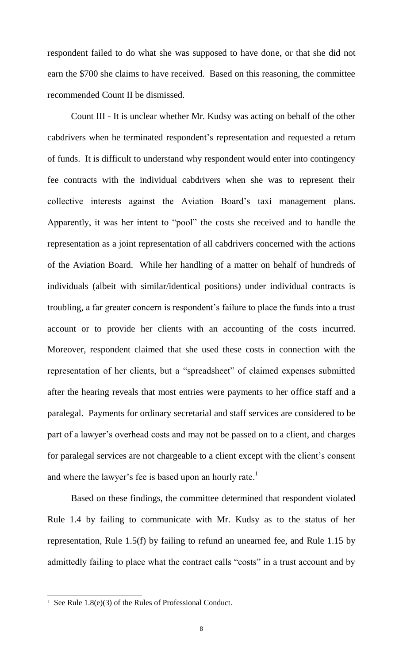respondent failed to do what she was supposed to have done, or that she did not earn the \$700 she claims to have received. Based on this reasoning, the committee recommended Count II be dismissed.

Count III - It is unclear whether Mr. Kudsy was acting on behalf of the other cabdrivers when he terminated respondent's representation and requested a return of funds. It is difficult to understand why respondent would enter into contingency fee contracts with the individual cabdrivers when she was to represent their collective interests against the Aviation Board's taxi management plans. Apparently, it was her intent to "pool" the costs she received and to handle the representation as a joint representation of all cabdrivers concerned with the actions of the Aviation Board. While her handling of a matter on behalf of hundreds of individuals (albeit with similar/identical positions) under individual contracts is troubling, a far greater concern is respondent's failure to place the funds into a trust account or to provide her clients with an accounting of the costs incurred. Moreover, respondent claimed that she used these costs in connection with the representation of her clients, but a "spreadsheet" of claimed expenses submitted after the hearing reveals that most entries were payments to her office staff and a paralegal. Payments for ordinary secretarial and staff services are considered to be part of a lawyer's overhead costs and may not be passed on to a client, and charges for paralegal services are not chargeable to a client except with the client's consent and where the lawyer's fee is based upon an hourly rate.<sup>1</sup>

Based on these findings, the committee determined that respondent violated Rule 1.4 by failing to communicate with Mr. Kudsy as to the status of her representation, Rule 1.5(f) by failing to refund an unearned fee, and Rule 1.15 by admittedly failing to place what the contract calls "costs" in a trust account and by

 $\overline{a}$ 

<sup>&</sup>lt;sup>1</sup> See Rule 1.8(e)(3) of the Rules of Professional Conduct.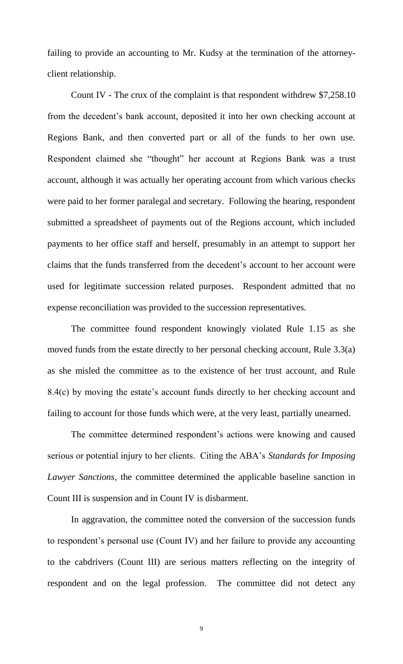failing to provide an accounting to Mr. Kudsy at the termination of the attorneyclient relationship.

Count IV - The crux of the complaint is that respondent withdrew \$7,258.10 from the decedent's bank account, deposited it into her own checking account at Regions Bank, and then converted part or all of the funds to her own use. Respondent claimed she "thought" her account at Regions Bank was a trust account, although it was actually her operating account from which various checks were paid to her former paralegal and secretary. Following the hearing, respondent submitted a spreadsheet of payments out of the Regions account, which included payments to her office staff and herself, presumably in an attempt to support her claims that the funds transferred from the decedent's account to her account were used for legitimate succession related purposes. Respondent admitted that no expense reconciliation was provided to the succession representatives.

The committee found respondent knowingly violated Rule 1.15 as she moved funds from the estate directly to her personal checking account, Rule 3.3(a) as she misled the committee as to the existence of her trust account, and Rule 8.4(c) by moving the estate's account funds directly to her checking account and failing to account for those funds which were, at the very least, partially unearned.

The committee determined respondent's actions were knowing and caused serious or potential injury to her clients. Citing the ABA's *Standards for Imposing Lawyer Sanctions*, the committee determined the applicable baseline sanction in Count III is suspension and in Count IV is disbarment.

 In aggravation, the committee noted the conversion of the succession funds to respondent's personal use (Count IV) and her failure to provide any accounting to the cabdrivers (Count III) are serious matters reflecting on the integrity of respondent and on the legal profession. The committee did not detect any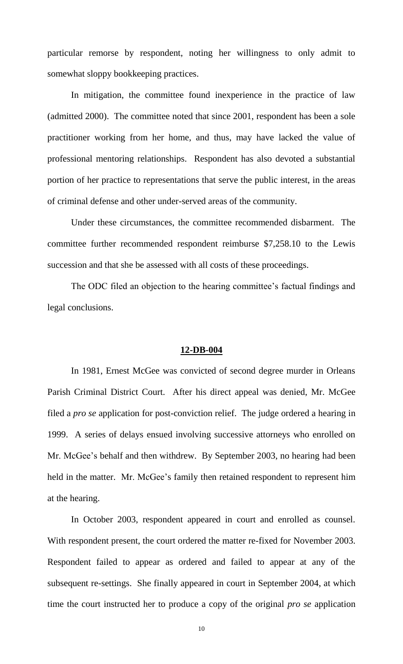particular remorse by respondent, noting her willingness to only admit to somewhat sloppy bookkeeping practices.

In mitigation, the committee found inexperience in the practice of law (admitted 2000). The committee noted that since 2001, respondent has been a sole practitioner working from her home, and thus, may have lacked the value of professional mentoring relationships. Respondent has also devoted a substantial portion of her practice to representations that serve the public interest, in the areas of criminal defense and other under-served areas of the community.

Under these circumstances, the committee recommended disbarment. The committee further recommended respondent reimburse \$7,258.10 to the Lewis succession and that she be assessed with all costs of these proceedings.

The ODC filed an objection to the hearing committee's factual findings and legal conclusions.

#### **12-DB-004**

 In 1981, Ernest McGee was convicted of second degree murder in Orleans Parish Criminal District Court. After his direct appeal was denied, Mr. McGee filed a *pro se* application for post-conviction relief. The judge ordered a hearing in 1999. A series of delays ensued involving successive attorneys who enrolled on Mr. McGee's behalf and then withdrew. By September 2003, no hearing had been held in the matter. Mr. McGee's family then retained respondent to represent him at the hearing.

In October 2003, respondent appeared in court and enrolled as counsel. With respondent present, the court ordered the matter re-fixed for November 2003. Respondent failed to appear as ordered and failed to appear at any of the subsequent re-settings. She finally appeared in court in September 2004, at which time the court instructed her to produce a copy of the original *pro se* application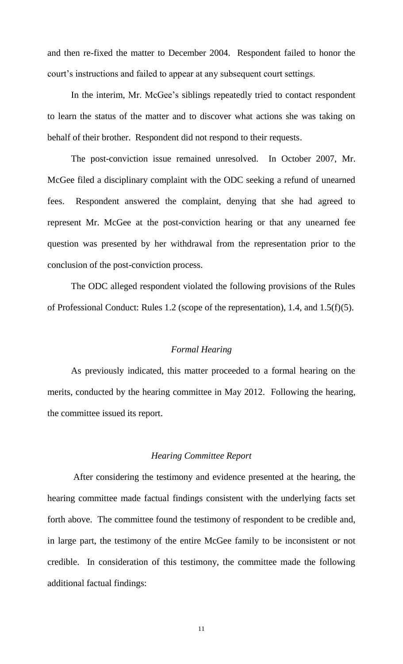and then re-fixed the matter to December 2004. Respondent failed to honor the court's instructions and failed to appear at any subsequent court settings.

In the interim, Mr. McGee's siblings repeatedly tried to contact respondent to learn the status of the matter and to discover what actions she was taking on behalf of their brother. Respondent did not respond to their requests.

The post-conviction issue remained unresolved. In October 2007, Mr. McGee filed a disciplinary complaint with the ODC seeking a refund of unearned fees. Respondent answered the complaint, denying that she had agreed to represent Mr. McGee at the post-conviction hearing or that any unearned fee question was presented by her withdrawal from the representation prior to the conclusion of the post-conviction process.

The ODC alleged respondent violated the following provisions of the Rules of Professional Conduct: Rules 1.2 (scope of the representation), 1.4, and 1.5(f)(5).

#### *Formal Hearing*

 As previously indicated, this matter proceeded to a formal hearing on the merits, conducted by the hearing committee in May 2012. Following the hearing, the committee issued its report.

#### *Hearing Committee Report*

 After considering the testimony and evidence presented at the hearing, the hearing committee made factual findings consistent with the underlying facts set forth above. The committee found the testimony of respondent to be credible and, in large part, the testimony of the entire McGee family to be inconsistent or not credible. In consideration of this testimony, the committee made the following additional factual findings: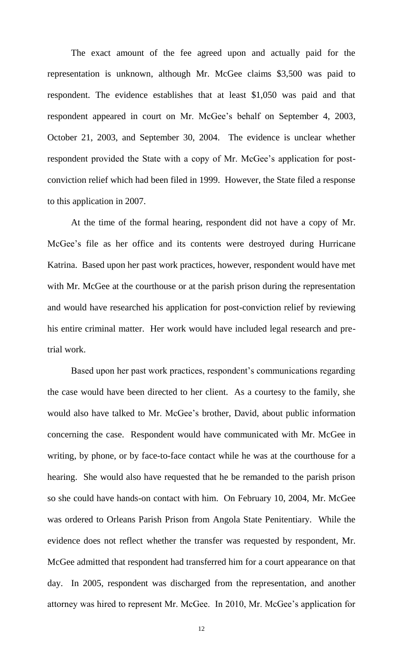The exact amount of the fee agreed upon and actually paid for the representation is unknown, although Mr. McGee claims \$3,500 was paid to respondent. The evidence establishes that at least \$1,050 was paid and that respondent appeared in court on Mr. McGee's behalf on September 4, 2003, October 21, 2003, and September 30, 2004. The evidence is unclear whether respondent provided the State with a copy of Mr. McGee's application for postconviction relief which had been filed in 1999. However, the State filed a response to this application in 2007.

At the time of the formal hearing, respondent did not have a copy of Mr. McGee's file as her office and its contents were destroyed during Hurricane Katrina. Based upon her past work practices, however, respondent would have met with Mr. McGee at the courthouse or at the parish prison during the representation and would have researched his application for post-conviction relief by reviewing his entire criminal matter. Her work would have included legal research and pretrial work.

Based upon her past work practices, respondent's communications regarding the case would have been directed to her client. As a courtesy to the family, she would also have talked to Mr. McGee's brother, David, about public information concerning the case. Respondent would have communicated with Mr. McGee in writing, by phone, or by face-to-face contact while he was at the courthouse for a hearing. She would also have requested that he be remanded to the parish prison so she could have hands-on contact with him. On February 10, 2004, Mr. McGee was ordered to Orleans Parish Prison from Angola State Penitentiary. While the evidence does not reflect whether the transfer was requested by respondent, Mr. McGee admitted that respondent had transferred him for a court appearance on that day. In 2005, respondent was discharged from the representation, and another attorney was hired to represent Mr. McGee. In 2010, Mr. McGee's application for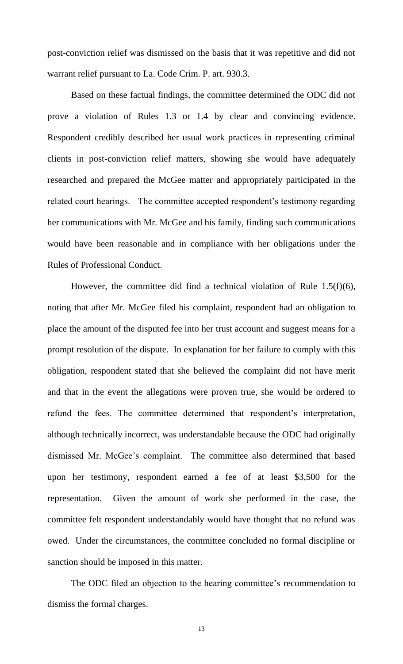post-conviction relief was dismissed on the basis that it was repetitive and did not warrant relief pursuant to La. Code Crim. P. art. 930.3.

Based on these factual findings, the committee determined the ODC did not prove a violation of Rules 1.3 or 1.4 by clear and convincing evidence. Respondent credibly described her usual work practices in representing criminal clients in post-conviction relief matters, showing she would have adequately researched and prepared the McGee matter and appropriately participated in the related court hearings. The committee accepted respondent's testimony regarding her communications with Mr. McGee and his family, finding such communications would have been reasonable and in compliance with her obligations under the Rules of Professional Conduct.

However, the committee did find a technical violation of Rule  $1.5(f)(6)$ , noting that after Mr. McGee filed his complaint, respondent had an obligation to place the amount of the disputed fee into her trust account and suggest means for a prompt resolution of the dispute. In explanation for her failure to comply with this obligation, respondent stated that she believed the complaint did not have merit and that in the event the allegations were proven true, she would be ordered to refund the fees. The committee determined that respondent's interpretation, although technically incorrect, was understandable because the ODC had originally dismissed Mr. McGee's complaint. The committee also determined that based upon her testimony, respondent earned a fee of at least \$3,500 for the representation. Given the amount of work she performed in the case, the committee felt respondent understandably would have thought that no refund was owed. Under the circumstances, the committee concluded no formal discipline or sanction should be imposed in this matter.

The ODC filed an objection to the hearing committee's recommendation to dismiss the formal charges.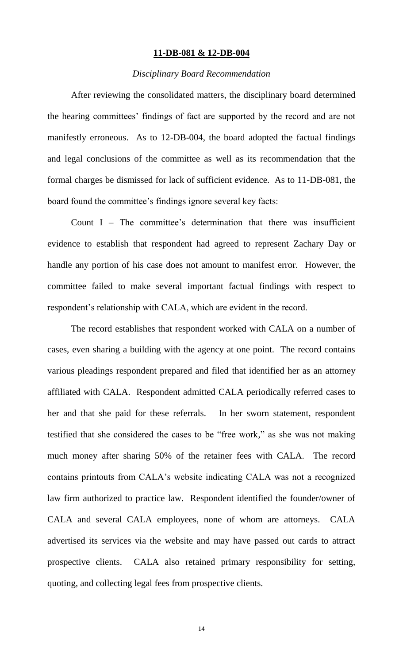#### **11-DB-081 & 12-DB-004**

#### *Disciplinary Board Recommendation*

After reviewing the consolidated matters, the disciplinary board determined the hearing committees' findings of fact are supported by the record and are not manifestly erroneous. As to 12-DB-004, the board adopted the factual findings and legal conclusions of the committee as well as its recommendation that the formal charges be dismissed for lack of sufficient evidence. As to 11-DB-081, the board found the committee's findings ignore several key facts:

Count  $I$  – The committee's determination that there was insufficient evidence to establish that respondent had agreed to represent Zachary Day or handle any portion of his case does not amount to manifest error. However, the committee failed to make several important factual findings with respect to respondent's relationship with CALA, which are evident in the record.

The record establishes that respondent worked with CALA on a number of cases, even sharing a building with the agency at one point. The record contains various pleadings respondent prepared and filed that identified her as an attorney affiliated with CALA. Respondent admitted CALA periodically referred cases to her and that she paid for these referrals. In her sworn statement, respondent testified that she considered the cases to be "free work," as she was not making much money after sharing 50% of the retainer fees with CALA. The record contains printouts from CALA's website indicating CALA was not a recognized law firm authorized to practice law. Respondent identified the founder/owner of CALA and several CALA employees, none of whom are attorneys. CALA advertised its services via the website and may have passed out cards to attract prospective clients. CALA also retained primary responsibility for setting, quoting, and collecting legal fees from prospective clients.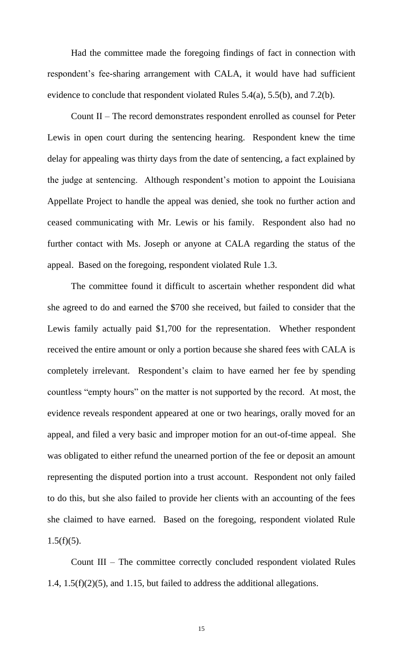Had the committee made the foregoing findings of fact in connection with respondent's fee-sharing arrangement with CALA, it would have had sufficient evidence to conclude that respondent violated Rules 5.4(a), 5.5(b), and 7.2(b).

Count II – The record demonstrates respondent enrolled as counsel for Peter Lewis in open court during the sentencing hearing. Respondent knew the time delay for appealing was thirty days from the date of sentencing, a fact explained by the judge at sentencing. Although respondent's motion to appoint the Louisiana Appellate Project to handle the appeal was denied, she took no further action and ceased communicating with Mr. Lewis or his family. Respondent also had no further contact with Ms. Joseph or anyone at CALA regarding the status of the appeal. Based on the foregoing, respondent violated Rule 1.3.

 The committee found it difficult to ascertain whether respondent did what she agreed to do and earned the \$700 she received, but failed to consider that the Lewis family actually paid \$1,700 for the representation. Whether respondent received the entire amount or only a portion because she shared fees with CALA is completely irrelevant. Respondent's claim to have earned her fee by spending countless "empty hours" on the matter is not supported by the record. At most, the evidence reveals respondent appeared at one or two hearings, orally moved for an appeal, and filed a very basic and improper motion for an out-of-time appeal. She was obligated to either refund the unearned portion of the fee or deposit an amount representing the disputed portion into a trust account. Respondent not only failed to do this, but she also failed to provide her clients with an accounting of the fees she claimed to have earned. Based on the foregoing, respondent violated Rule  $1.5(f)(5)$ .

Count III – The committee correctly concluded respondent violated Rules 1.4, 1.5(f)(2)(5), and 1.15, but failed to address the additional allegations.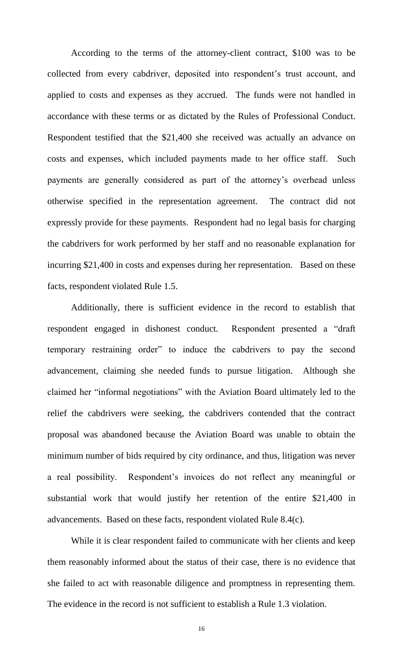According to the terms of the attorney-client contract, \$100 was to be collected from every cabdriver, deposited into respondent's trust account, and applied to costs and expenses as they accrued. The funds were not handled in accordance with these terms or as dictated by the Rules of Professional Conduct. Respondent testified that the \$21,400 she received was actually an advance on costs and expenses, which included payments made to her office staff. Such payments are generally considered as part of the attorney's overhead unless otherwise specified in the representation agreement. The contract did not expressly provide for these payments. Respondent had no legal basis for charging the cabdrivers for work performed by her staff and no reasonable explanation for incurring \$21,400 in costs and expenses during her representation. Based on these facts, respondent violated Rule 1.5.

Additionally, there is sufficient evidence in the record to establish that respondent engaged in dishonest conduct. Respondent presented a "draft temporary restraining order" to induce the cabdrivers to pay the second advancement, claiming she needed funds to pursue litigation. Although she claimed her "informal negotiations" with the Aviation Board ultimately led to the relief the cabdrivers were seeking, the cabdrivers contended that the contract proposal was abandoned because the Aviation Board was unable to obtain the minimum number of bids required by city ordinance, and thus, litigation was never a real possibility. Respondent's invoices do not reflect any meaningful or substantial work that would justify her retention of the entire \$21,400 in advancements. Based on these facts, respondent violated Rule 8.4(c).

While it is clear respondent failed to communicate with her clients and keep them reasonably informed about the status of their case, there is no evidence that she failed to act with reasonable diligence and promptness in representing them. The evidence in the record is not sufficient to establish a Rule 1.3 violation.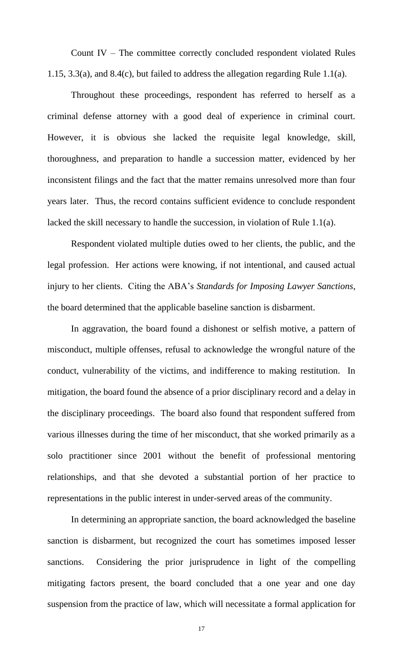Count IV – The committee correctly concluded respondent violated Rules 1.15, 3.3(a), and 8.4(c), but failed to address the allegation regarding Rule 1.1(a).

Throughout these proceedings, respondent has referred to herself as a criminal defense attorney with a good deal of experience in criminal court. However, it is obvious she lacked the requisite legal knowledge, skill, thoroughness, and preparation to handle a succession matter, evidenced by her inconsistent filings and the fact that the matter remains unresolved more than four years later. Thus, the record contains sufficient evidence to conclude respondent lacked the skill necessary to handle the succession, in violation of Rule 1.1(a).

Respondent violated multiple duties owed to her clients, the public, and the legal profession. Her actions were knowing, if not intentional, and caused actual injury to her clients. Citing the ABA's *Standards for Imposing Lawyer Sanctions*, the board determined that the applicable baseline sanction is disbarment.

 In aggravation, the board found a dishonest or selfish motive, a pattern of misconduct, multiple offenses, refusal to acknowledge the wrongful nature of the conduct, vulnerability of the victims, and indifference to making restitution. In mitigation, the board found the absence of a prior disciplinary record and a delay in the disciplinary proceedings. The board also found that respondent suffered from various illnesses during the time of her misconduct, that she worked primarily as a solo practitioner since 2001 without the benefit of professional mentoring relationships, and that she devoted a substantial portion of her practice to representations in the public interest in under-served areas of the community.

In determining an appropriate sanction, the board acknowledged the baseline sanction is disbarment, but recognized the court has sometimes imposed lesser sanctions. Considering the prior jurisprudence in light of the compelling mitigating factors present, the board concluded that a one year and one day suspension from the practice of law, which will necessitate a formal application for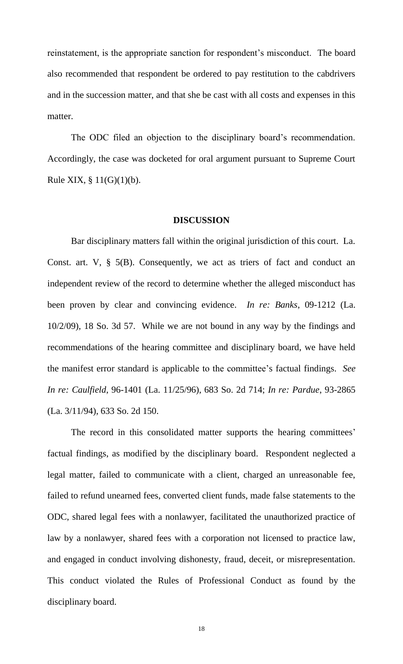reinstatement, is the appropriate sanction for respondent's misconduct. The board also recommended that respondent be ordered to pay restitution to the cabdrivers and in the succession matter, and that she be cast with all costs and expenses in this matter.

The ODC filed an objection to the disciplinary board's recommendation. Accordingly, the case was docketed for oral argument pursuant to Supreme Court Rule XIX, § 11(G)(1)(b).

#### **DISCUSSION**

Bar disciplinary matters fall within the original jurisdiction of this court. La. Const. art. V, § 5(B). Consequently, we act as triers of fact and conduct an independent review of the record to determine whether the alleged misconduct has been proven by clear and convincing evidence. *In re: Banks*, 09-1212 (La. 10/2/09), 18 So. 3d 57. While we are not bound in any way by the findings and recommendations of the hearing committee and disciplinary board, we have held the manifest error standard is applicable to the committee's factual findings. *See In re: Caulfield*, 96-1401 (La. 11/25/96), 683 So. 2d 714; *In re: Pardue*, 93-2865 (La. 3/11/94), 633 So. 2d 150.

The record in this consolidated matter supports the hearing committees' factual findings, as modified by the disciplinary board. Respondent neglected a legal matter, failed to communicate with a client, charged an unreasonable fee, failed to refund unearned fees, converted client funds, made false statements to the ODC, shared legal fees with a nonlawyer, facilitated the unauthorized practice of law by a nonlawyer, shared fees with a corporation not licensed to practice law, and engaged in conduct involving dishonesty, fraud, deceit, or misrepresentation. This conduct violated the Rules of Professional Conduct as found by the disciplinary board.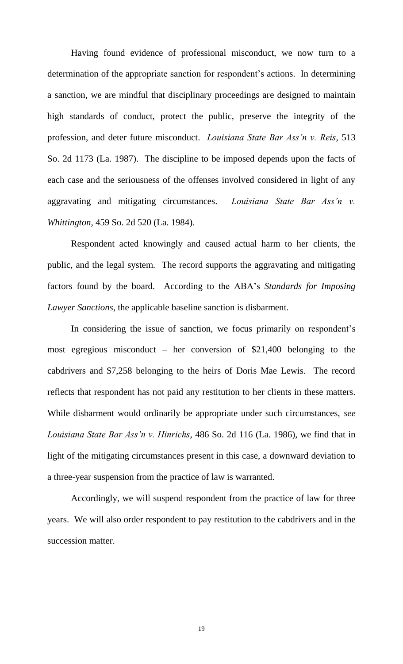Having found evidence of professional misconduct, we now turn to a determination of the appropriate sanction for respondent's actions. In determining a sanction, we are mindful that disciplinary proceedings are designed to maintain high standards of conduct, protect the public, preserve the integrity of the profession, and deter future misconduct. *Louisiana State Bar Ass'n v. Reis*, 513 So. 2d 1173 (La. 1987). The discipline to be imposed depends upon the facts of each case and the seriousness of the offenses involved considered in light of any aggravating and mitigating circumstances. *Louisiana State Bar Ass'n v. Whittington*, 459 So. 2d 520 (La. 1984).

Respondent acted knowingly and caused actual harm to her clients, the public, and the legal system. The record supports the aggravating and mitigating factors found by the board. According to the ABA's *Standards for Imposing Lawyer Sanctions*, the applicable baseline sanction is disbarment.

In considering the issue of sanction, we focus primarily on respondent's most egregious misconduct – her conversion of \$21,400 belonging to the cabdrivers and \$7,258 belonging to the heirs of Doris Mae Lewis. The record reflects that respondent has not paid any restitution to her clients in these matters. While disbarment would ordinarily be appropriate under such circumstances, *see Louisiana State Bar Ass'n v. Hinrichs*, 486 So. 2d 116 (La. 1986), we find that in light of the mitigating circumstances present in this case, a downward deviation to a three-year suspension from the practice of law is warranted.

 Accordingly, we will suspend respondent from the practice of law for three years. We will also order respondent to pay restitution to the cabdrivers and in the succession matter.